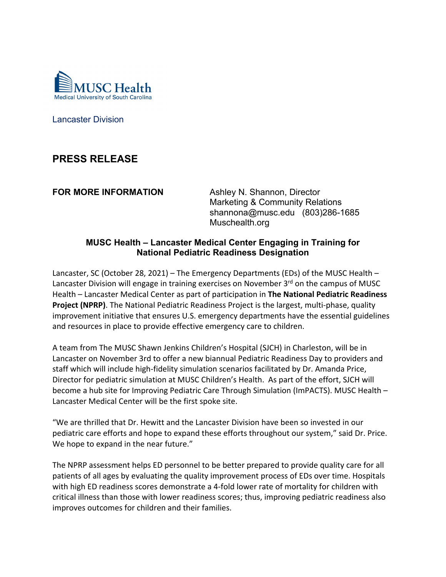

Lancaster Division

## **PRESS RELEASE**

**FOR MORE INFORMATION Ashley N. Shannon, Director**  Marketing & Community Relations shannona@musc.edu (803)286-1685 Muschealth.org

## **MUSC Health – Lancaster Medical Center Engaging in Training for National Pediatric Readiness Designation**

Lancaster, SC (October 28, 2021) – The Emergency Departments (EDs) of the MUSC Health – Lancaster Division will engage in training exercises on November 3<sup>rd</sup> on the campus of MUSC Health – Lancaster Medical Center as part of participation in **The National Pediatric Readiness Project (NPRP)**. The National Pediatric Readiness Project is the largest, multi-phase, quality improvement initiative that ensures U.S. emergency departments have the essential guidelines and resources in place to provide effective emergency care to children.

A team from The MUSC Shawn Jenkins Children's Hospital (SJCH) in Charleston, will be in Lancaster on November 3rd to offer a new biannual Pediatric Readiness Day to providers and staff which will include high‐fidelity simulation scenarios facilitated by Dr. Amanda Price, Director for pediatric simulation at MUSC Children's Health. As part of the effort, SJCH will become a hub site for Improving Pediatric Care Through Simulation (ImPACTS). MUSC Health – Lancaster Medical Center will be the first spoke site.

"We are thrilled that Dr. Hewitt and the Lancaster Division have been so invested in our pediatric care efforts and hope to expand these efforts throughout our system," said Dr. Price. We hope to expand in the near future."

The NPRP assessment helps ED personnel to be better prepared to provide quality care for all patients of all ages by evaluating the quality improvement process of EDs over time. Hospitals with high ED readiness scores demonstrate a 4‐fold lower rate of mortality for children with critical illness than those with lower readiness scores; thus, improving pediatric readiness also improves outcomes for children and their families.